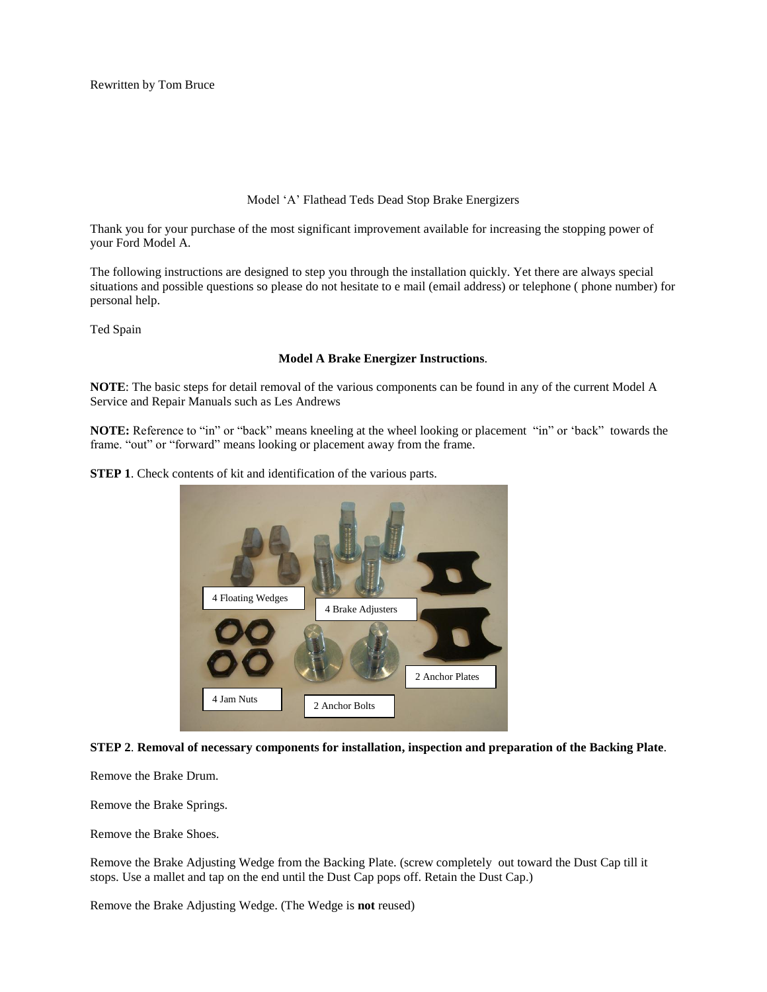Rewritten by Tom Bruce

# Model "A" Flathead Teds Dead Stop Brake Energizers

Thank you for your purchase of the most significant improvement available for increasing the stopping power of your Ford Model A.

The following instructions are designed to step you through the installation quickly. Yet there are always special situations and possible questions so please do not hesitate to e mail (email address) or telephone ( phone number) for personal help.

Ted Spain

# **Model A Brake Energizer Instructions**.

**NOTE**: The basic steps for detail removal of the various components can be found in any of the current Model A Service and Repair Manuals such as Les Andrews

**NOTE:** Reference to "in" or "back" means kneeling at the wheel looking or placement "in" or "back" towards the frame. "out" or "forward" means looking or placement away from the frame.

**STEP 1**. Check contents of kit and identification of the various parts.



**STEP 2**. **Removal of necessary components for installation, inspection and preparation of the Backing Plate**.

Remove the Brake Drum.

Remove the Brake Springs.

Remove the Brake Shoes.

Remove the Brake Adjusting Wedge from the Backing Plate. (screw completely out toward the Dust Cap till it stops. Use a mallet and tap on the end until the Dust Cap pops off. Retain the Dust Cap.)

Remove the Brake Adjusting Wedge. (The Wedge is **not** reused)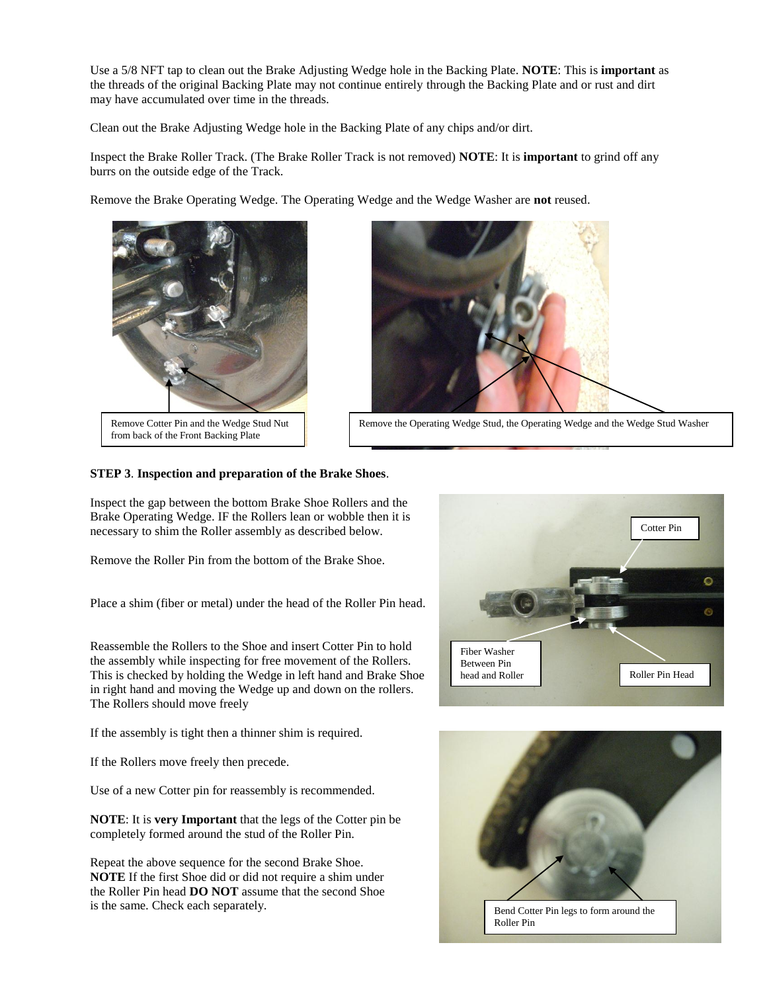Use a 5/8 NFT tap to clean out the Brake Adjusting Wedge hole in the Backing Plate. **NOTE**: This is **important** as the threads of the original Backing Plate may not continue entirely through the Backing Plate and or rust and dirt may have accumulated over time in the threads.

Clean out the Brake Adjusting Wedge hole in the Backing Plate of any chips and/or dirt.

Inspect the Brake Roller Track. (The Brake Roller Track is not removed) **NOTE**: It is **important** to grind off any burrs on the outside edge of the Track.

Remove the Brake Operating Wedge. The Operating Wedge and the Wedge Washer are **not** reused.



Remove Cotter Pin and the Wedge Stud Nut from back of the Front Backing Plate



Remove the Operating Wedge Stud, the Operating Wedge and the Wedge Stud Washer

### **STEP 3**. **Inspection and preparation of the Brake Shoes**.

Inspect the gap between the bottom Brake Shoe Rollers and the Brake Operating Wedge. IF the Rollers lean or wobble then it is necessary to shim the Roller assembly as described below.

Remove the Roller Pin from the bottom of the Brake Shoe.

Place a shim (fiber or metal) under the head of the Roller Pin head.

Reassemble the Rollers to the Shoe and insert Cotter Pin to hold the assembly while inspecting for free movement of the Rollers. This is checked by holding the Wedge in left hand and Brake Shoe in right hand and moving the Wedge up and down on the rollers. The Rollers should move freely

If the assembly is tight then a thinner shim is required.

If the Rollers move freely then precede.

Use of a new Cotter pin for reassembly is recommended.

**NOTE**: It is **very Important** that the legs of the Cotter pin be completely formed around the stud of the Roller Pin.

Repeat the above sequence for the second Brake Shoe. **NOTE** If the first Shoe did or did not require a shim under the Roller Pin head **DO NOT** assume that the second Shoe is the same. Check each separately.



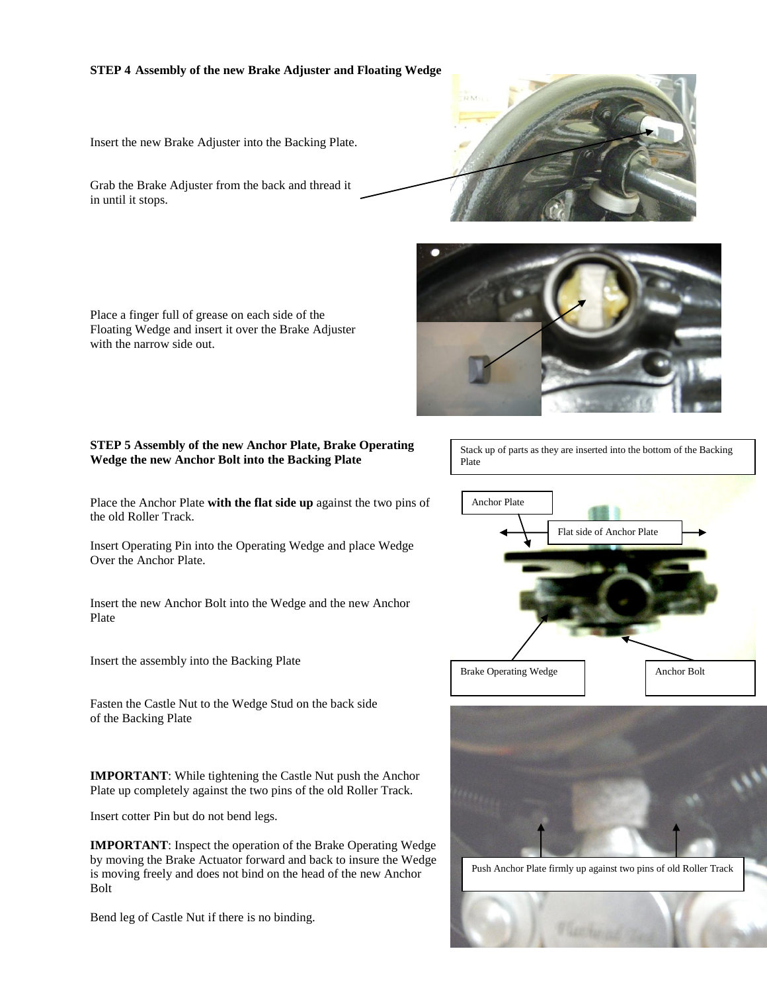# **STEP 4 Assembly of the new Brake Adjuster and Floating Wedge**

Insert the new Brake Adjuster into the Backing Plate.

Grab the Brake Adjuster from the back and thread it in until it stops.





Place a finger full of grease on each side of the Floating Wedge and insert it over the Brake Adjuster with the narrow side out.

# **STEP 5 Assembly of the new Anchor Plate, Brake Operating Wedge the new Anchor Bolt into the Backing Plate**

Place the Anchor Plate **with the flat side up** against the two pins of the old Roller Track.

Insert Operating Pin into the Operating Wedge and place Wedge Over the Anchor Plate.

Insert the new Anchor Bolt into the Wedge and the new Anchor Plate

Insert the assembly into the Backing Plate

Fasten the Castle Nut to the Wedge Stud on the back side of the Backing Plate

**IMPORTANT**: While tightening the Castle Nut push the Anchor Plate up completely against the two pins of the old Roller Track.

Insert cotter Pin but do not bend legs.

**IMPORTANT**: Inspect the operation of the Brake Operating Wedge by moving the Brake Actuator forward and back to insure the Wedge is moving freely and does not bind on the head of the new Anchor Bolt

Bend leg of Castle Nut if there is no binding.

Stack up of parts as they are inserted into the bottom of the Backing Plate